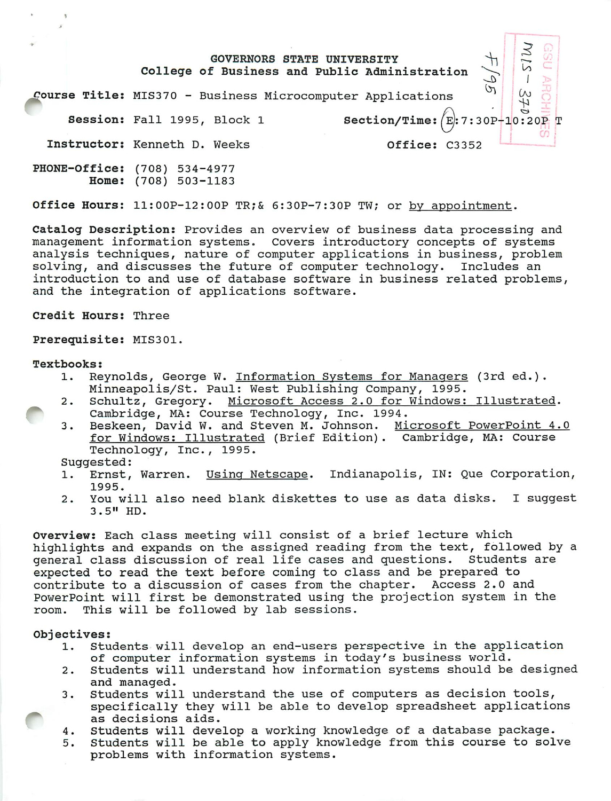#### *J <sup>3</sup>* GOVERNORS STATE UNIVERSITY College of Business and Public Administration *I* course Title: MIS370 - Business Microcomputer Applications  $2\pm 2$ *^* Session: Fall 1995, Block <sup>1</sup> Section/Time:  $(E): 7:30P-10:20P$  T Instructor: Kenneth D. Weeks Office: C3352

PHONE-Office: (708) 534-4977 Home: (708) 503-1183

Office Hours: 11:00P-12:OOP TR;& 6:30P-7:30P TW; or by appointment.

Catalog Description: Provides an overview of business data processing and management information systems. Covers introductory concepts of systems analysis techniques, nature of computer applications in business, problem solving, and discusses the future of computer technology. Includes an introduction to and use of database software in business related problems, and the integration of applications software.

Credit Hours: Three

Prerequisite: MIS301.

#### Textbooks:

- 1. Reynolds, George W. Information Systems for Managers (3rd ed.). Minneapolis/St. Paul: West Publishing Company, 1995.
- 2. Schultz, Gregory. Microsoft Access 2.0 for Windows: Illustrated. Cambridge, MA: Course Technology, Inc. 1994.
- 3. Beskeen, David W. and Steven M. Johnson. Microsoft PowerPoint 4.0 for Windows: Illustrated (Brief Edition). Cambridge, MA: Course Technology, Inc., 1995.

Suggested:

- 1. Ernst, Warren. Using Netscape. Indianapolis, IN: Que Corporation, 1995.
- 2. You will also need blank diskettes to use as data disks. I suggest 3.5" HD.

Overview: Each class meeting will consist of a brief lecture which highlights and expands on the assigned reading from the text, followed by a general class discussion of real life cases and questions. Students are expected to read the text before coming to class and be prepared to contribute to a discussion of cases from the chapter. Access 2.0 and PowerPoint will first be demonstrated using the projection system in the room. This will be followed by lab sessions.

## Objectives:

- 1. Students will develop an end-users perspective in the application of computer information systems in today's business world.
- 2. Students will understand how information systems should be designed and managed.
- 3. Students will understand the use of computers as decision tools, specifically they will be able to develop spreadsheet applications as decisions aids.
- 4. Students will develop a working knowledge of a database package.
- 5. Students will be able to apply knowledge from this course to solve problems with information systems.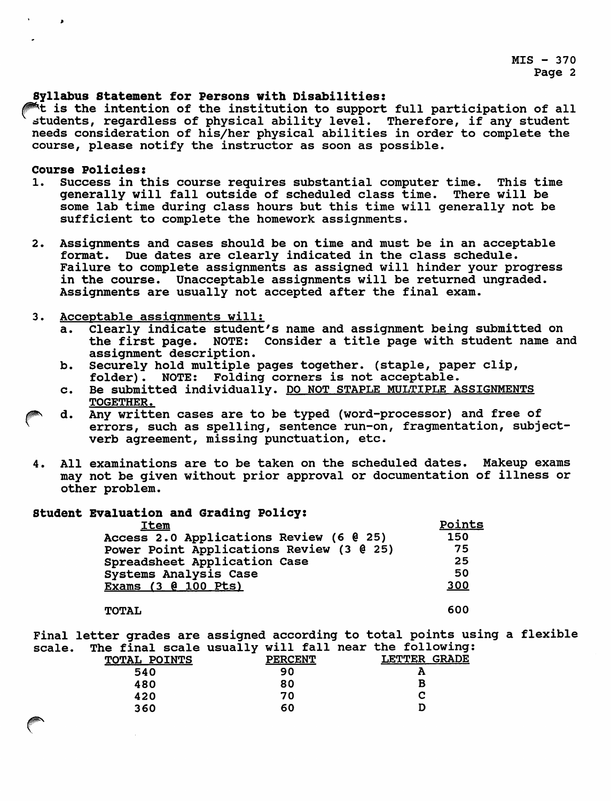$MIS - 370$ Page 2

## Syllabus Statement for Persons with Disabilities:

 $A$ t is the intention of the institution to support full participation of all students, regardless of physical ability level. Therefore, if any student needs consideration of his/her physical abilities in order to complete the course, please notify the instructor as soon as possible.

## Course Policies:

- 1. Success in this course requires substantial computer time. This time generally will fall outside of scheduled class time. There will be some lab time during class hours but this time will generally not be sufficient to complete the homework assignments.
- 2. Assignments and cases should be on time and must be in an acceptable format. Due dates are clearly indicated in the class schedule. Failure to complete assignments as assigned will hinder your progress in the course. Unacceptable assignments will be returned ungraded. Assignments are usually not accepted after the final exam.

## 3. Acceptable assignments will:

- a. Clearly indicate student's name and assignment being submitted on the first page. NOTE: Consider a title page with student name and assignment description.
- b. Securely hold multiple pages together, (staple, paper clip, folder). NOTE: Folding corners is not acceptable.
- c. Be submitted individually. DO NOT STAPLE MULTIPLE ASSIGNMENTS TOGETHER.
- d. Any written cases are to be typed (word-processor) and free of errors, such as spelling, sentence run-on, fragmentation, subjectverb agreement, missing punctuation, etc.
- 4. All examinations are to be taken on the scheduled dates. Makeup exams may not be given without prior approval or documentation of illness or other problem.

# Student Evaluation and Grading Policy:

| <b>Item</b>                              | <u>Points</u> |
|------------------------------------------|---------------|
| Access 2.0 Applications Review (6 0 25)  | 150           |
| Power Point Applications Review (3 @ 25) | 75            |
| Spreadsheet Application Case             | 25            |
| Systems Analysis Case                    | 50            |
| <b>Exams (3 @ 100 Pts)</b>               | 300           |
|                                          |               |

### TOTAL 600

Final letter grades are assigned according to total points using a flexible scale. The final scale usually will fall near the following:

| <b>TOTAL POINTS</b> |    |                | . .          |
|---------------------|----|----------------|--------------|
|                     | 90 | A              |              |
|                     | 80 | c              |              |
|                     | 70 | С              |              |
|                     | 60 | D              |              |
|                     |    | <b>PERCENT</b> | LETTER GRADE |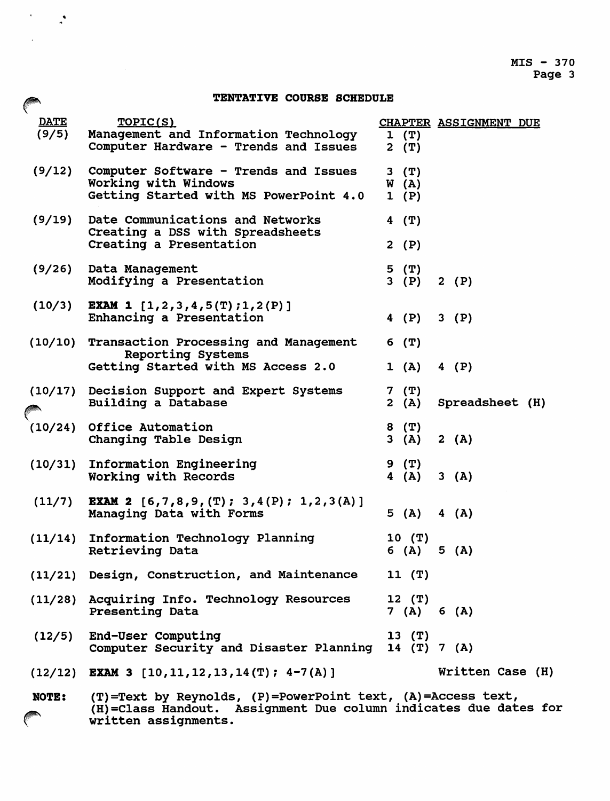## TENTATIVE COURSE SCHEDULE fLE *1^JSiM*

 $\label{eq:2} \frac{1}{2} \left( \frac{1}{2} \right)^2 \left( \frac{1}{2} \right)^2$ 

| <b>DATE</b><br>(9/5) | TOPIC(S)<br>Management and Information Technology<br>Computer Hardware - Trends and Issues              | 1(T)<br>$2$ (T)           | <b>CHAPTER ASSIGNMENT DUE</b> |
|----------------------|---------------------------------------------------------------------------------------------------------|---------------------------|-------------------------------|
| (9/12)               | Computer Software - Trends and Issues<br>Working with Windows<br>Getting Started with MS PowerPoint 4.0 | $3$ $(T)$<br>W(A)<br>1(P) |                               |
| (9/19)               | Date Communications and Networks<br>Creating a DSS with Spreadsheets<br>Creating a Presentation         | $4$ (T)<br>2(P)           |                               |
| (9/26)               | Data Management<br>Modifying a Presentation                                                             | $5$ $(T)$<br>3(P)         | 2(P)                          |
| (10/3)               | <b>EXAM 1</b> $[1, 2, 3, 4, 5(T); 1, 2(P)]$<br>Enhancing a Presentation                                 | 4 $(P)$                   | 3(P)                          |
|                      | (10/10) Transaction Processing and Management                                                           | 6(T)                      |                               |
|                      | <b>Reporting Systems</b><br>Getting Started with MS Access 2.0                                          | 1(A)                      | 4 (P)                         |
|                      | (10/17) Decision Support and Expert Systems<br>Building a Database                                      | 7 (T)<br>2(A)             | Spreadsheet (H)               |
|                      | (10/24) Office Automation<br>Changing Table Design                                                      | 8 (T)<br>3(A)             | 2(A)                          |
| (10/31)              | Information Engineering<br>Working with Records                                                         | 9 (T)<br>4 (A)            | 3(A)                          |
| (11/7)               | <b>EXAM 2</b> [6,7,8,9, (T); 3,4(P); 1,2,3(A)]<br>Managing Data with Forms                              | 5(A)                      | 4(A)                          |
|                      | (11/14) Information Technology Planning<br>Retrieving Data                                              | 10(T)<br>6 (A) $5$ (A)    |                               |
|                      | (11/21) Design, Construction, and Maintenance 11 (T)                                                    |                           |                               |
|                      | (11/28) Acquiring Info. Technology Resources<br><b>Presenting Data</b>                                  | $12$ (T)<br>7 (A) 6 (A)   |                               |
|                      | (12/5) End-User Computing<br>Computer Security and Disaster Planning 14 (T) 7 (A)                       | $13$ $(T)$                |                               |
|                      | $(12/12)$ EXAM 3 $[10, 11, 12, 13, 14(T); 4-7(A)]$                                                      |                           | Written Case (H)              |
| <b>NOTE:</b>         | (T)=Text by Reynolds, (P)=PowerPoint text, (A)=Access text,                                             |                           |                               |

(H)=Class Handout. Assignment Due column indicates due dates for  $\curvearrowleft$ written assignments.